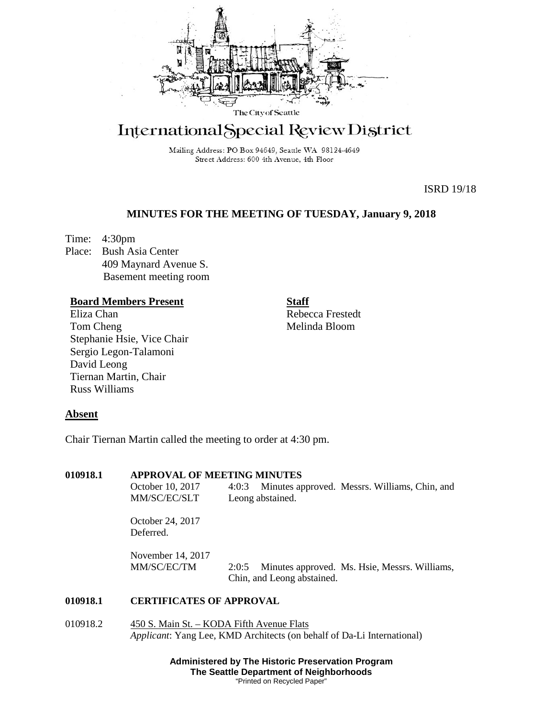

# International Special Review District

Mailing Address: PO Box 94649, Seattle WA 98124-4649 Street Address: 600 4th Avenue, 4th Floor

ISRD 19/18

## **MINUTES FOR THE MEETING OF TUESDAY, January 9, 2018**

Time: 4:30pm Place: Bush Asia Center 409 Maynard Avenue S. Basement meeting room

# **Board Members Present**

Eliza Chan Tom Cheng Stephanie Hsie, Vice Chair Sergio Legon-Talamoni David Leong Tiernan Martin, Chair Russ Williams

**Staff** Rebecca Frestedt Melinda Bloom

### **Absent**

Chair Tiernan Martin called the meeting to order at 4:30 pm.

| 010918.1 | <b>APPROVAL OF MEETING MINUTES</b>                                                                                         |                                                                                      |
|----------|----------------------------------------------------------------------------------------------------------------------------|--------------------------------------------------------------------------------------|
|          | October 10, 2017                                                                                                           | 4:0:3 Minutes approved. Messrs. Williams, Chin, and                                  |
|          | MM/SC/EC/SLT                                                                                                               | Leong abstained.                                                                     |
|          | October 24, 2017<br>Deferred.                                                                                              |                                                                                      |
|          | November $14, 2017$                                                                                                        |                                                                                      |
|          | MM/SC/EC/TM                                                                                                                | Minutes approved. Ms. Hsie, Messrs. Williams,<br>2:0:5<br>Chin, and Leong abstained. |
| 010918.1 | <b>CERTIFICATES OF APPROVAL</b>                                                                                            |                                                                                      |
| 010918.2 | 450 S. Main St. – KODA Fifth Avenue Flats<br><i>Applicant:</i> Yang Lee, KMD Architects (on behalf of Da-Li International) |                                                                                      |

**Administered by The Historic Preservation Program The Seattle Department of Neighborhoods** "Printed on Recycled Paper"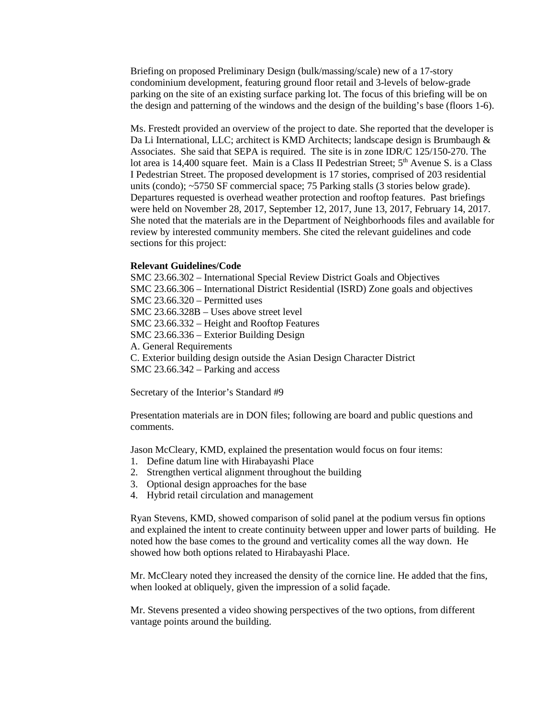Briefing on proposed Preliminary Design (bulk/massing/scale) new of a 17-story condominium development, featuring ground floor retail and 3-levels of below-grade parking on the site of an existing surface parking lot. The focus of this briefing will be on the design and patterning of the windows and the design of the building's base (floors 1-6).

Ms. Frestedt provided an overview of the project to date. She reported that the developer is Da Li International, LLC; architect is KMD Architects; landscape design is Brumbaugh & Associates. She said that SEPA is required. The site is in zone IDR/C 125/150-270. The lot area is 14,400 square feet. Main is a Class II Pedestrian Street; 5<sup>th</sup> Avenue S. is a Class I Pedestrian Street. The proposed development is 17 stories, comprised of 203 residential units (condo); ~5750 SF commercial space; 75 Parking stalls (3 stories below grade). Departures requested is overhead weather protection and rooftop features. Past briefings were held on November 28, 2017, September 12, 2017, June 13, 2017, February 14, 2017. She noted that the materials are in the Department of Neighborhoods files and available for review by interested community members. She cited the relevant guidelines and code sections for this project:

#### **Relevant Guidelines/Code**

SMC 23.66.302 – International Special Review District Goals and Objectives SMC 23.66.306 – International District Residential (ISRD) Zone goals and objectives SMC 23.66.320 – Permitted uses SMC 23.66.328B – Uses above street level SMC 23.66.332 – Height and Rooftop Features SMC 23.66.336 – Exterior Building Design A. General Requirements C. Exterior building design outside the Asian Design Character District SMC 23.66.342 – Parking and access

Secretary of the Interior's Standard #9

Presentation materials are in DON files; following are board and public questions and comments.

Jason McCleary, KMD, explained the presentation would focus on four items:

- 1. Define datum line with Hirabayashi Place
- 2. Strengthen vertical alignment throughout the building
- 3. Optional design approaches for the base
- 4. Hybrid retail circulation and management

Ryan Stevens, KMD, showed comparison of solid panel at the podium versus fin options and explained the intent to create continuity between upper and lower parts of building. He noted how the base comes to the ground and verticality comes all the way down. He showed how both options related to Hirabayashi Place.

Mr. McCleary noted they increased the density of the cornice line. He added that the fins, when looked at obliquely, given the impression of a solid façade.

Mr. Stevens presented a video showing perspectives of the two options, from different vantage points around the building.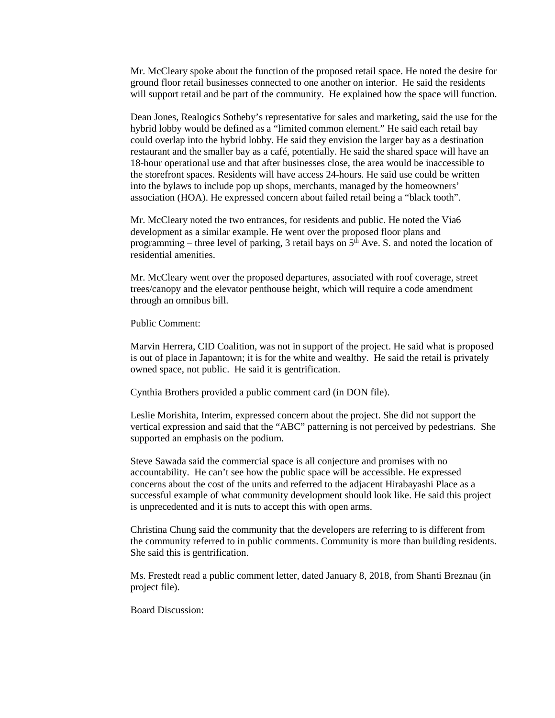Mr. McCleary spoke about the function of the proposed retail space. He noted the desire for ground floor retail businesses connected to one another on interior. He said the residents will support retail and be part of the community. He explained how the space will function.

Dean Jones, Realogics Sotheby's representative for sales and marketing, said the use for the hybrid lobby would be defined as a "limited common element." He said each retail bay could overlap into the hybrid lobby. He said they envision the larger bay as a destination restaurant and the smaller bay as a café, potentially. He said the shared space will have an 18-hour operational use and that after businesses close, the area would be inaccessible to the storefront spaces. Residents will have access 24-hours. He said use could be written into the bylaws to include pop up shops, merchants, managed by the homeowners' association (HOA). He expressed concern about failed retail being a "black tooth".

Mr. McCleary noted the two entrances, for residents and public. He noted the Via6 development as a similar example. He went over the proposed floor plans and programming – three level of parking, 3 retail bays on  $5<sup>th</sup>$  Ave. S. and noted the location of residential amenities.

Mr. McCleary went over the proposed departures, associated with roof coverage, street trees/canopy and the elevator penthouse height, which will require a code amendment through an omnibus bill.

Public Comment:

Marvin Herrera, CID Coalition, was not in support of the project. He said what is proposed is out of place in Japantown; it is for the white and wealthy. He said the retail is privately owned space, not public. He said it is gentrification.

Cynthia Brothers provided a public comment card (in DON file).

Leslie Morishita, Interim, expressed concern about the project. She did not support the vertical expression and said that the "ABC" patterning is not perceived by pedestrians. She supported an emphasis on the podium.

Steve Sawada said the commercial space is all conjecture and promises with no accountability. He can't see how the public space will be accessible. He expressed concerns about the cost of the units and referred to the adjacent Hirabayashi Place as a successful example of what community development should look like. He said this project is unprecedented and it is nuts to accept this with open arms.

Christina Chung said the community that the developers are referring to is different from the community referred to in public comments. Community is more than building residents. She said this is gentrification.

Ms. Frestedt read a public comment letter, dated January 8, 2018, from Shanti Breznau (in project file).

Board Discussion: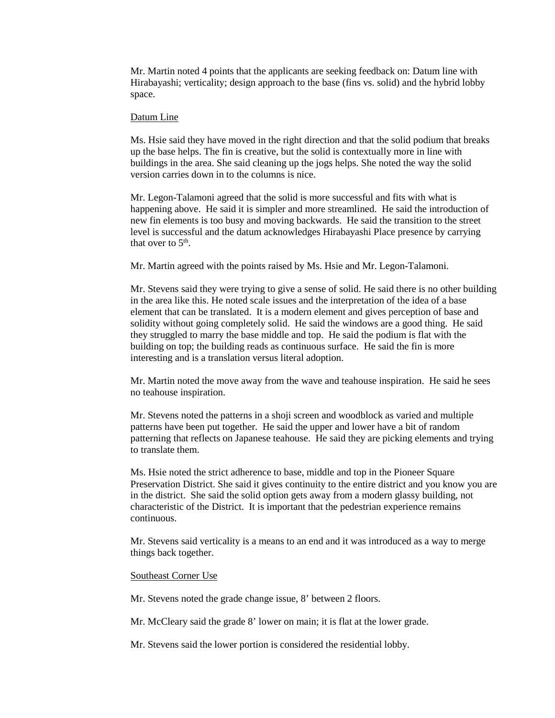Mr. Martin noted 4 points that the applicants are seeking feedback on: Datum line with Hirabayashi; verticality; design approach to the base (fins vs. solid) and the hybrid lobby space.

#### Datum Line

Ms. Hsie said they have moved in the right direction and that the solid podium that breaks up the base helps. The fin is creative, but the solid is contextually more in line with buildings in the area. She said cleaning up the jogs helps. She noted the way the solid version carries down in to the columns is nice.

Mr. Legon-Talamoni agreed that the solid is more successful and fits with what is happening above. He said it is simpler and more streamlined. He said the introduction of new fin elements is too busy and moving backwards. He said the transition to the street level is successful and the datum acknowledges Hirabayashi Place presence by carrying that over to  $5<sup>th</sup>$ .

Mr. Martin agreed with the points raised by Ms. Hsie and Mr. Legon-Talamoni.

Mr. Stevens said they were trying to give a sense of solid. He said there is no other building in the area like this. He noted scale issues and the interpretation of the idea of a base element that can be translated. It is a modern element and gives perception of base and solidity without going completely solid. He said the windows are a good thing. He said they struggled to marry the base middle and top. He said the podium is flat with the building on top; the building reads as continuous surface. He said the fin is more interesting and is a translation versus literal adoption.

Mr. Martin noted the move away from the wave and teahouse inspiration. He said he sees no teahouse inspiration.

Mr. Stevens noted the patterns in a shoji screen and woodblock as varied and multiple patterns have been put together. He said the upper and lower have a bit of random patterning that reflects on Japanese teahouse. He said they are picking elements and trying to translate them.

Ms. Hsie noted the strict adherence to base, middle and top in the Pioneer Square Preservation District. She said it gives continuity to the entire district and you know you are in the district. She said the solid option gets away from a modern glassy building, not characteristic of the District. It is important that the pedestrian experience remains continuous.

Mr. Stevens said verticality is a means to an end and it was introduced as a way to merge things back together.

#### Southeast Corner Use

Mr. Stevens noted the grade change issue, 8' between 2 floors.

Mr. McCleary said the grade 8' lower on main; it is flat at the lower grade.

Mr. Stevens said the lower portion is considered the residential lobby.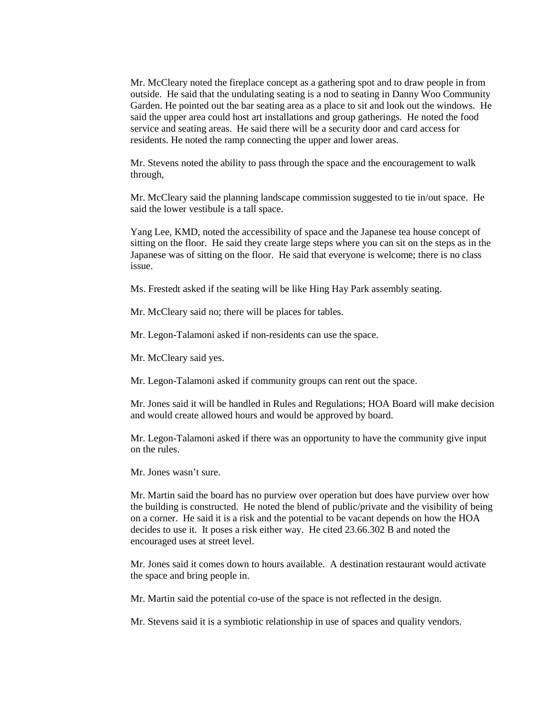Mr. McCleary noted the fireplace concept as a gathering spot and to draw people in from outside. He said that the undulating seating is a nod to seating in Danny Woo Community Garden. He pointed out the bar seating area as a place to sit and look out the windows. He said the upper area could host art installations and group gatherings. He noted the food service and seating areas. He said there will be a security door and card access for residents. He noted the ramp connecting the upper and lower areas.

Mr. Stevens noted the ability to pass through the space and the encouragement to walk through,

Mr. McCleary said the planning landscape commission suggested to tie in/out space. He said the lower vestibule is a tall space.

Yang Lee, KMD, noted the accessibility of space and the Japanese tea house concept of sitting on the floor. He said they create large steps where you can sit on the steps as in the Japanese was of sitting on the floor. He said that everyone is welcome; there is no class issue.

Ms. Frestedt asked if the seating will be like Hing Hay Park assembly seating.

Mr. McCleary said no; there will be places for tables.

Mr. Legon-Talamoni asked if non-residents can use the space.

Mr. McCleary said yes.

Mr. Legon-Talamoni asked if community groups can rent out the space.

Mr. Jones said it will be handled in Rules and Regulations; HOA Board will make decision and would create allowed hours and would be approved by board.

Mr. Legon-Talamoni asked if there was an opportunity to have the community give input on the rules.

Mr. Jones wasn't sure.

Mr. Martin said the board has no purview over operation but does have purview over how the building is constructed. He noted the blend of public/private and the visibility of being on a corner. He said it is a risk and the potential to be vacant depends on how the HOA decides to use it. It poses a risk either way. He cited 23.66.302 B and noted the encouraged uses at street level.

Mr. Jones said it comes down to hours available. A destination restaurant would activate the space and bring people in.

Mr. Martin said the potential co-use of the space is not reflected in the design.

Mr. Stevens said it is a symbiotic relationship in use of spaces and quality vendors.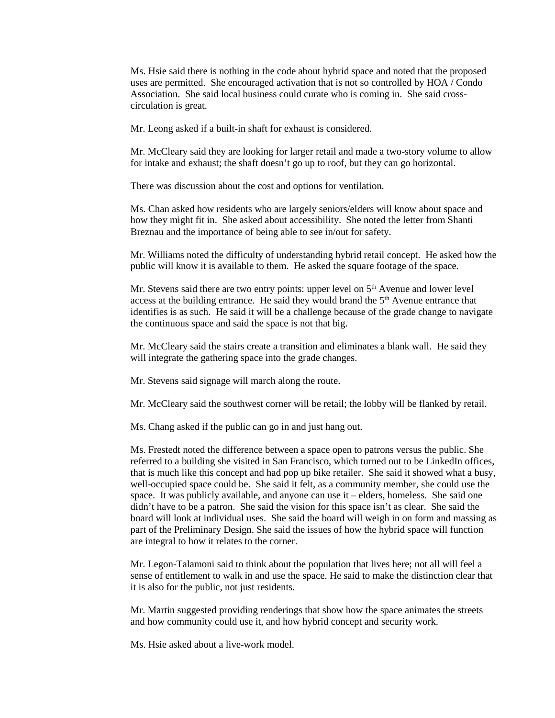Ms. Hsie said there is nothing in the code about hybrid space and noted that the proposed uses are permitted. She encouraged activation that is not so controlled by HOA / Condo Association. She said local business could curate who is coming in. She said crosscirculation is great.

Mr. Leong asked if a built-in shaft for exhaust is considered.

Mr. McCleary said they are looking for larger retail and made a two-story volume to allow for intake and exhaust; the shaft doesn't go up to roof, but they can go horizontal.

There was discussion about the cost and options for ventilation.

Ms. Chan asked how residents who are largely seniors/elders will know about space and how they might fit in. She asked about accessibility. She noted the letter from Shanti Breznau and the importance of being able to see in/out for safety.

Mr. Williams noted the difficulty of understanding hybrid retail concept. He asked how the public will know it is available to them. He asked the square footage of the space.

Mr. Stevens said there are two entry points: upper level on  $5<sup>th</sup>$  Avenue and lower level access at the building entrance. He said they would brand the  $5<sup>th</sup>$  Avenue entrance that identifies is as such. He said it will be a challenge because of the grade change to navigate the continuous space and said the space is not that big.

Mr. McCleary said the stairs create a transition and eliminates a blank wall. He said they will integrate the gathering space into the grade changes.

Mr. Stevens said signage will march along the route.

Mr. McCleary said the southwest corner will be retail; the lobby will be flanked by retail.

Ms. Chang asked if the public can go in and just hang out.

Ms. Frestedt noted the difference between a space open to patrons versus the public. She referred to a building she visited in San Francisco, which turned out to be LinkedIn offices, that is much like this concept and had pop up bike retailer. She said it showed what a busy, well-occupied space could be. She said it felt, as a community member, she could use the space. It was publicly available, and anyone can use it – elders, homeless. She said one didn't have to be a patron. She said the vision for this space isn't as clear. She said the board will look at individual uses. She said the board will weigh in on form and massing as part of the Preliminary Design. She said the issues of how the hybrid space will function are integral to how it relates to the corner.

Mr. Legon-Talamoni said to think about the population that lives here; not all will feel a sense of entitlement to walk in and use the space. He said to make the distinction clear that it is also for the public, not just residents.

Mr. Martin suggested providing renderings that show how the space animates the streets and how community could use it, and how hybrid concept and security work.

Ms. Hsie asked about a live-work model.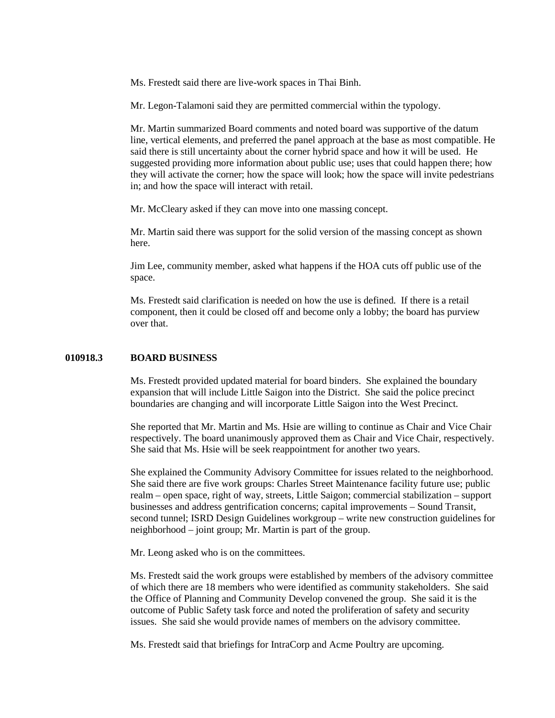Ms. Frestedt said there are live-work spaces in Thai Binh.

Mr. Legon-Talamoni said they are permitted commercial within the typology.

Mr. Martin summarized Board comments and noted board was supportive of the datum line, vertical elements, and preferred the panel approach at the base as most compatible. He said there is still uncertainty about the corner hybrid space and how it will be used. He suggested providing more information about public use; uses that could happen there; how they will activate the corner; how the space will look; how the space will invite pedestrians in; and how the space will interact with retail.

Mr. McCleary asked if they can move into one massing concept.

Mr. Martin said there was support for the solid version of the massing concept as shown here.

Jim Lee, community member, asked what happens if the HOA cuts off public use of the space.

Ms. Frestedt said clarification is needed on how the use is defined. If there is a retail component, then it could be closed off and become only a lobby; the board has purview over that.

#### **010918.3 BOARD BUSINESS**

Ms. Frestedt provided updated material for board binders. She explained the boundary expansion that will include Little Saigon into the District. She said the police precinct boundaries are changing and will incorporate Little Saigon into the West Precinct.

She reported that Mr. Martin and Ms. Hsie are willing to continue as Chair and Vice Chair respectively. The board unanimously approved them as Chair and Vice Chair, respectively. She said that Ms. Hsie will be seek reappointment for another two years.

She explained the Community Advisory Committee for issues related to the neighborhood. She said there are five work groups: Charles Street Maintenance facility future use; public realm – open space, right of way, streets, Little Saigon; commercial stabilization – support businesses and address gentrification concerns; capital improvements – Sound Transit, second tunnel; ISRD Design Guidelines workgroup – write new construction guidelines for neighborhood – joint group; Mr. Martin is part of the group.

Mr. Leong asked who is on the committees.

Ms. Frestedt said the work groups were established by members of the advisory committee of which there are 18 members who were identified as community stakeholders. She said the Office of Planning and Community Develop convened the group. She said it is the outcome of Public Safety task force and noted the proliferation of safety and security issues. She said she would provide names of members on the advisory committee.

Ms. Frestedt said that briefings for IntraCorp and Acme Poultry are upcoming.